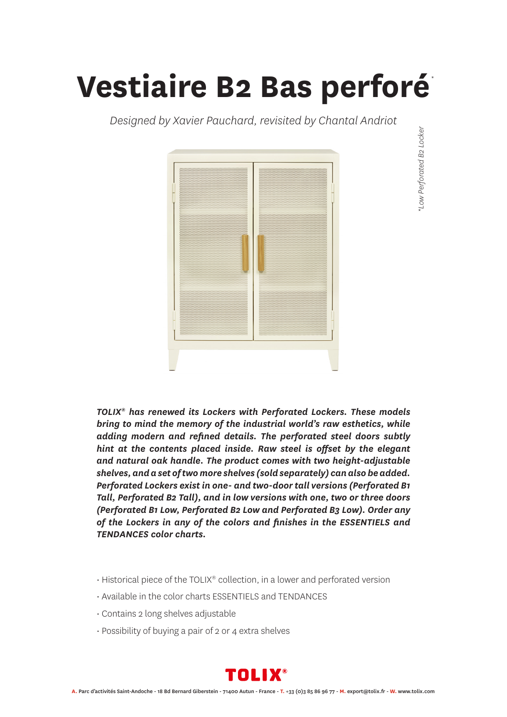## **Vestiaire B2 Bas perforé**

*Designed by Xavier Pauchard, revisited by Chantal Andriot*



*\*Low Perforated B2 Locker \**Low Perforated B2 Locker

*TOLIX® has renewed its Lockers with Perforated Lockers. These models bring to mind the memory of the industrial world's raw esthetics, while adding modern and refined details. The perforated steel doors subtly hint at the contents placed inside. Raw steel is offset by the elegant and natural oak handle. The product comes with two height-adjustable shelves, and a set of two more shelves (sold separately) can also be added. Perforated Lockers exist in one- and two-door tall versions (Perforated B1 Tall, Perforated B2 Tall), and in low versions with one, two or three doors (Perforated B1 Low, Perforated B2 Low and Perforated B3 Low). Order any of the Lockers in any of the colors and finishes in the ESSENTIELS and TENDANCES color charts.*

- Historical piece of the TOLIX® collection, in a lower and perforated version
- Available in the color charts ESSENTIELS and TENDANCES
- Contains 2 long shelves adjustable
- Possibility of buying a pair of 2 or 4 extra shelves